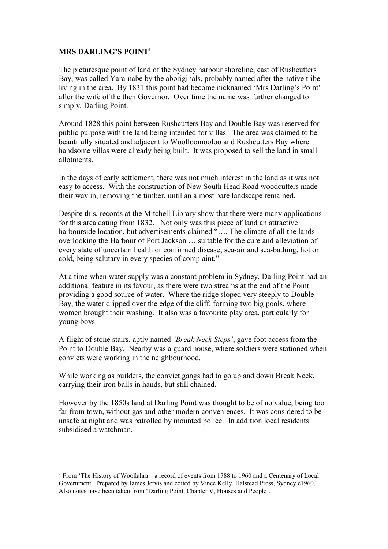## **MRS DARLING'S POINT[1](#page-0-0)**

The picturesque point of land of the Sydney harbour shoreline, east of Rushcutters Bay, was called Yara-nabe by the aboriginals, probably named after the native tribe living in the area. By 1831 this point had become nicknamed 'Mrs Darling's Point' after the wife of the then Governor. Over time the name was further changed to simply, Darling Point.

Around 1828 this point between Rushcutters Bay and Double Bay was reserved for public purpose with the land being intended for villas. The area was claimed to be beautifully situated and adjacent to Woolloomooloo and Rushcutters Bay where handsome villas were already being built. It was proposed to sell the land in small allotments.

In the days of early settlement, there was not much interest in the land as it was not easy to access. With the construction of New South Head Road woodcutters made their way in, removing the timber, until an almost bare landscape remained.

Despite this, records at the Mitchell Library show that there were many applications for this area dating from 1832. Not only was this piece of land an attractive harbourside location, but advertisements claimed ".... The climate of all the lands overlooking the Harbour of Port Jackson … suitable for the cure and alleviation of every state of uncertain health or confirmed disease; sea-air and sea-bathing, hot or cold, being salutary in every species of complaint."

At a time when water supply was a constant problem in Sydney, Darling Point had an additional feature in its favour, as there were two streams at the end of the Point providing a good source of water. Where the ridge sloped very steeply to Double Bay, the water dripped over the edge of the cliff, forming two big pools, where women brought their washing. It also was a favourite play area, particularly for young boys.

A flight of stone stairs, aptly named *'Break Neck Steps'*, gave foot access from the Point to Double Bay. Nearby was a guard house, where soldiers were stationed when convicts were working in the neighbourhood.

While working as builders, the convict gangs had to go up and down Break Neck, carrying their iron balls in hands, but still chained.

However by the 1850s land at Darling Point was thought to be of no value, being too far from town, without gas and other modern conveniences. It was considered to be unsafe at night and was patrolled by mounted police. In addition local residents subsidised a watchman.

<span id="page-0-0"></span><sup>&</sup>lt;sup>1</sup> From 'The History of Woollahra – a record of events from 1788 to 1960 and a Centenary of Local Government. Prepared by James Jervis and edited by Vince Kelly, Halstead Press, Sydney c1960. Also notes have been taken from 'Darling Point, Chapter V, Houses and People'.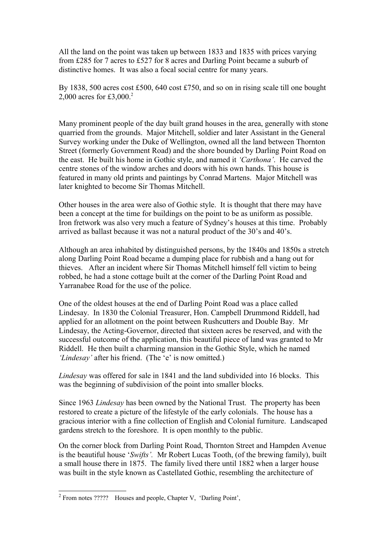All the land on the point was taken up between 1833 and 1835 with prices varying from £285 for 7 acres to £527 for 8 acres and Darling Point became a suburb of distinctive homes. It was also a focal social centre for many years.

By 1838, 500 acres cost £500, 640 cost £750, and so on in rising scale till one bought 2,000 acres for £3,000.[2](#page-1-0)

Many prominent people of the day built grand houses in the area, generally with stone quarried from the grounds. Major Mitchell, soldier and later Assistant in the General Survey working under the Duke of Wellington, owned all the land between Thornton Street (formerly Government Road) and the shore bounded by Darling Point Road on the east. He built his home in Gothic style, and named it *'Carthona'*. He carved the centre stones of the window arches and doors with his own hands. This house is featured in many old prints and paintings by Conrad Martens. Major Mitchell was later knighted to become Sir Thomas Mitchell.

Other houses in the area were also of Gothic style. It is thought that there may have been a concept at the time for buildings on the point to be as uniform as possible. Iron fretwork was also very much a feature of Sydney's houses at this time. Probably arrived as ballast because it was not a natural product of the 30's and 40's.

Although an area inhabited by distinguished persons, by the 1840s and 1850s a stretch along Darling Point Road became a dumping place for rubbish and a hang out for thieves. After an incident where Sir Thomas Mitchell himself fell victim to being robbed, he had a stone cottage built at the corner of the Darling Point Road and Yarranabee Road for the use of the police.

One of the oldest houses at the end of Darling Point Road was a place called Lindesay. In 1830 the Colonial Treasurer, Hon. Campbell Drummond Riddell, had applied for an allotment on the point between Rushcutters and Double Bay. Mr Lindesay, the Acting-Governor, directed that sixteen acres be reserved, and with the successful outcome of the application, this beautiful piece of land was granted to Mr Riddell. He then built a charming mansion in the Gothic Style, which he named *'Lindesay'* after his friend. (The 'e' is now omitted.)

*Lindesay* was offered for sale in 1841 and the land subdivided into 16 blocks. This was the beginning of subdivision of the point into smaller blocks.

Since 1963 *Lindesay* has been owned by the National Trust. The property has been restored to create a picture of the lifestyle of the early colonials. The house has a gracious interior with a fine collection of English and Colonial furniture. Landscaped gardens stretch to the foreshore. It is open monthly to the public.

On the corner block from Darling Point Road, Thornton Street and Hampden Avenue is the beautiful house '*Swifts'.* Mr Robert Lucas Tooth, (of the brewing family), built a small house there in 1875. The family lived there until 1882 when a larger house was built in the style known as Castellated Gothic, resembling the architecture of

<span id="page-1-0"></span> $2^2$  From notes ????? Houses and people, Chapter V, 'Darling Point',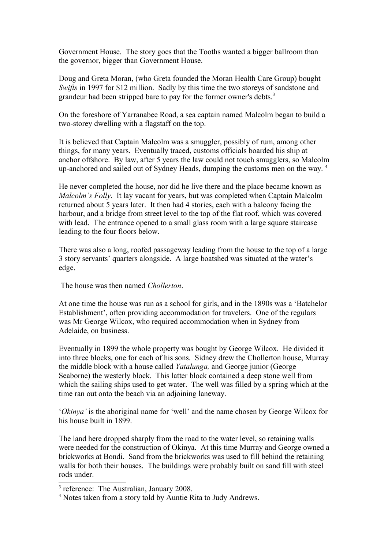Government House. The story goes that the Tooths wanted a bigger ballroom than the governor, bigger than Government House.

Doug and Greta Moran, (who Greta founded the Moran Health Care Group) bought *Swifts* in 1997 for \$12 million. Sadly by this time the two storeys of sandstone and grandeur had been stripped bare to pay for the former owner's debts.<sup>[3](#page-2-0)</sup>

On the foreshore of Yarranabee Road, a sea captain named Malcolm began to build a two-storey dwelling with a flagstaff on the top.

It is believed that Captain Malcolm was a smuggler, possibly of rum, among other things, for many years. Eventually traced, customs officials boarded his ship at anchor offshore. By law, after 5 years the law could not touch smugglers, so Malcolm up-anchored and sailed out of Sydney Heads, dumping the customs men on the way. [4](#page-2-1)

He never completed the house, nor did he live there and the place became known as *Malcolm's Folly*. It lay vacant for years, but was completed when Captain Malcolm returned about 5 years later. It then had 4 stories, each with a balcony facing the harbour, and a bridge from street level to the top of the flat roof, which was covered with lead. The entrance opened to a small glass room with a large square staircase leading to the four floors below.

There was also a long, roofed passageway leading from the house to the top of a large 3 story servants' quarters alongside. A large boatshed was situated at the water's edge.

The house was then named *Chollerton*.

At one time the house was run as a school for girls, and in the 1890s was a 'Batchelor Establishment', often providing accommodation for travelers. One of the regulars was Mr George Wilcox, who required accommodation when in Sydney from Adelaide, on business.

Eventually in 1899 the whole property was bought by George Wilcox. He divided it into three blocks, one for each of his sons. Sidney drew the Chollerton house, Murray the middle block with a house called *Yatalunga,* and George junior (George Seaborne) the westerly block. This latter block contained a deep stone well from which the sailing ships used to get water. The well was filled by a spring which at the time ran out onto the beach via an adjoining laneway.

'*Okinya'* is the aboriginal name for 'well' and the name chosen by George Wilcox for his house built in 1899.

The land here dropped sharply from the road to the water level, so retaining walls were needed for the construction of Okinya. At this time Murray and George owned a brickworks at Bondi. Sand from the brickworks was used to fill behind the retaining walls for both their houses. The buildings were probably built on sand fill with steel rods under.

<span id="page-2-0"></span><sup>&</sup>lt;sup>3</sup> reference: The Australian, January 2008.

<span id="page-2-1"></span><sup>&</sup>lt;sup>4</sup> Notes taken from a story told by Auntie Rita to Judy Andrews.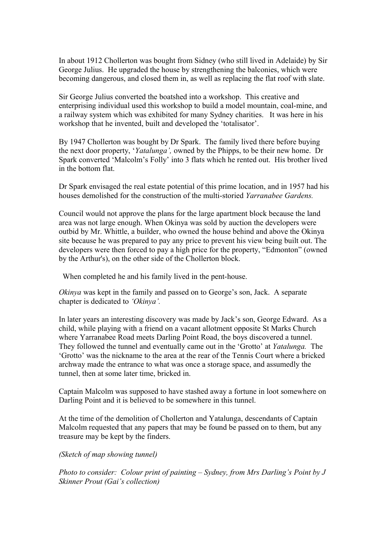In about 1912 Chollerton was bought from Sidney (who still lived in Adelaide) by Sir George Julius. He upgraded the house by strengthening the balconies, which were becoming dangerous, and closed them in, as well as replacing the flat roof with slate.

Sir George Julius converted the boatshed into a workshop. This creative and enterprising individual used this workshop to build a model mountain, coal-mine, and a railway system which was exhibited for many Sydney charities. It was here in his workshop that he invented, built and developed the 'totalisator'.

By 1947 Chollerton was bought by Dr Spark. The family lived there before buying the next door property, '*Yatalunga',* owned by the Phipps, to be their new home. Dr Spark converted 'Malcolm's Folly' into 3 flats which he rented out. His brother lived in the bottom flat.

Dr Spark envisaged the real estate potential of this prime location, and in 1957 had his houses demolished for the construction of the multi-storied *Yarranabee Gardens.*

Council would not approve the plans for the large apartment block because the land area was not large enough. When Okinya was sold by auction the developers were outbid by Mr. Whittle, a builder, who owned the house behind and above the Okinya site because he was prepared to pay any price to prevent his view being built out. The developers were then forced to pay a high price for the property, "Edmonton" (owned by the Arthur's), on the other side of the Chollerton block.

When completed he and his family lived in the pent-house.

*Okinya* was kept in the family and passed on to George's son, Jack. A separate chapter is dedicated to *'Okinya'.*

In later years an interesting discovery was made by Jack's son, George Edward. As a child, while playing with a friend on a vacant allotment opposite St Marks Church where Yarranabee Road meets Darling Point Road, the boys discovered a tunnel. They followed the tunnel and eventually came out in the 'Grotto' at *Yatalunga.* The 'Grotto' was the nickname to the area at the rear of the Tennis Court where a bricked archway made the entrance to what was once a storage space, and assumedly the tunnel, then at some later time, bricked in.

Captain Malcolm was supposed to have stashed away a fortune in loot somewhere on Darling Point and it is believed to be somewhere in this tunnel.

At the time of the demolition of Chollerton and Yatalunga, descendants of Captain Malcolm requested that any papers that may be found be passed on to them, but any treasure may be kept by the finders.

## *(Sketch of map showing tunnel)*

*Photo to consider: Colour print of painting – Sydney, from Mrs Darling's Point by J Skinner Prout (Gai's collection)*